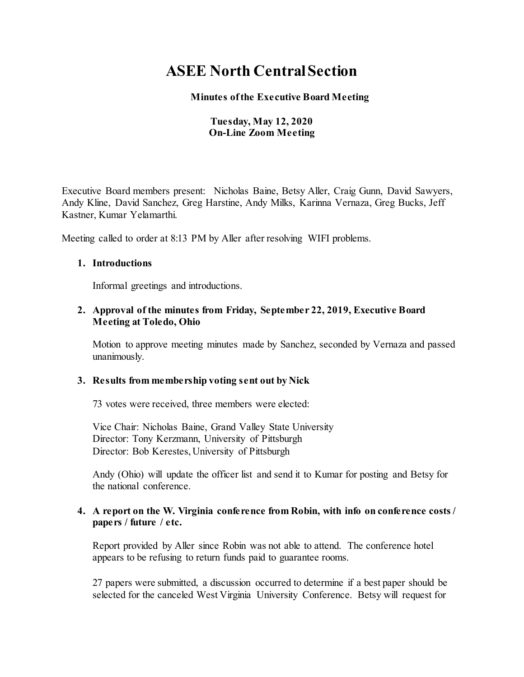# **ASEE North Central Section**

 **Minutes of the Executive Board Meeting** 

## **Tuesday, May 12, 2020 On-Line Zoom Meeting**

Executive Board members present: Nicholas Baine, Betsy Aller, Craig Gunn, David Sawyers, Andy Kline, David Sanchez, Greg Harstine, Andy Milks, Karinna Vernaza, Greg Bucks, Jeff Kastner, Kumar Yelamarthi.

Meeting called to order at 8:13 PM by Aller after resolving WIFI problems.

#### **1. Introductions**

Informal greetings and introductions.

#### **2. Approval of the minutes from Friday, September 22, 2019, Executive Board Meeting at Toledo, Ohio**

Motion to approve meeting minutes made by Sanchez, seconded by Vernaza and passed unanimously.

## **3. Results from membership voting sent out by Nick**

73 votes were received, three members were elected:

Vice Chair: Nicholas Baine, Grand Valley State University Director: Tony Kerzmann, University of Pittsburgh Director: Bob Kerestes, University of Pittsburgh

Andy (Ohio) will update the officer list and send it to Kumar for posting and Betsy for the national conference.

#### **4. A report on the W. Virginia conference from Robin, with info on conference costs / papers / future / etc.**

Report provided by Aller since Robin was not able to attend. The conference hotel appears to be refusing to return funds paid to guarantee rooms.

27 papers were submitted, a discussion occurred to determine if a best paper should be selected for the canceled West Virginia University Conference. Betsy will request for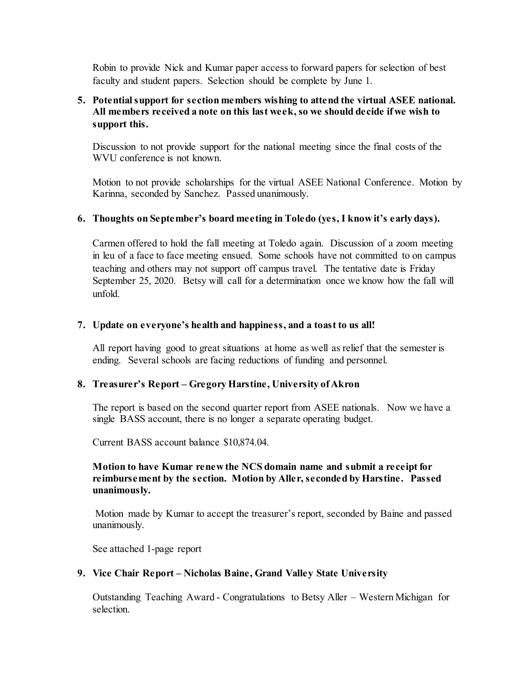Robin to provide Nick and Kumar paper access to forward papers for selection of best faculty and student papers. Selection should be complete by June 1.

## **5. Potential support for section members wishing to attend the virtual ASEE national. All members received a note on this last week, so we should decide if we wish to support this.**

Discussion to not provide support for the national meeting since the final costs of the WVU conference is not known.

Motion to not provide scholarships for the virtual ASEE National Conference. Motion by Karinna, seconded by Sanchez. Passed unanimously.

#### **6. Thoughts on September's board meeting in Toledo (yes, I know it's early days).**

Carmen offered to hold the fall meeting at Toledo again. Discussion of a zoom meeting in leu of a face to face meeting ensued. Some schools have not committed to on campus teaching and others may not support off campus travel. The tentative date is Friday September 25, 2020. Betsy will call for a determination once we know how the fall will unfold.

#### **7. Update on everyone's health and happiness, and a toast to us all!**

All report having good to great situations at home as well as relief that the semester is ending. Several schools are facing reductions of funding and personnel.

## **8. Treasurer's Report – Gregory Harstine, University of Akron**

The report is based on the second quarter report from ASEE nationals. Now we have a single BASS account, there is no longer a separate operating budget.

Current BASS account balance \$10,874.04.

#### **Motion to have Kumar renew the NCS domain name and submit a receipt for reimbursement by the section. Motion by Aller, seconded by Harstine. Passed unanimously.**

Motion made by Kumar to accept the treasurer's report, seconded by Baine and passed unanimously.

See attached 1-page report

#### **9. Vice Chair Report – Nicholas Baine, Grand Valley State University**

Outstanding Teaching Award - Congratulations to Betsy Aller – Western Michigan for selection.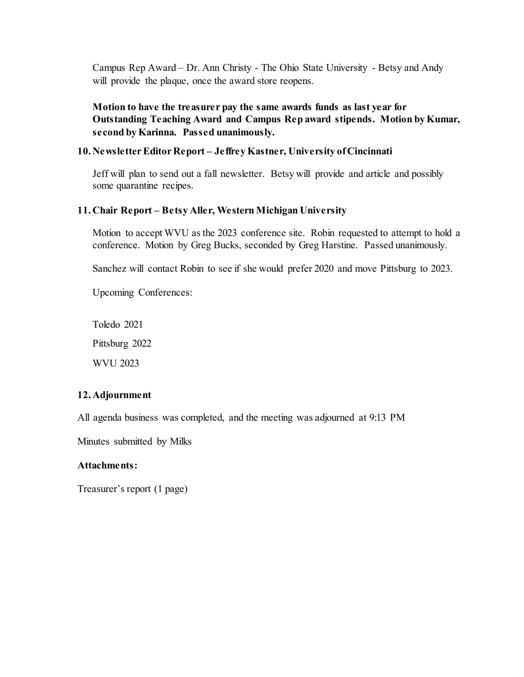Campus Rep Award – Dr. Ann Christy - The Ohio State University - Betsy and Andy will provide the plaque, once the award store reopens.

**Motion to have the treasurer pay the same awards funds as last year for Outstanding Teaching Award and Campus Rep award stipends. Motion by Kumar, second by Karinna. Passed unanimously.**

### **10. Newsletter Editor Report – Jeffrey Kastner, University of Cincinnati**

Jeff will plan to send out a fall newsletter. Betsy will provide and article and possibly some quarantine recipes.

#### **11. Chair Report – Betsy Aller, Western Michigan University**

Motion to accept WVU as the 2023 conference site. Robin requested to attempt to hold a conference. Motion by Greg Bucks, seconded by Greg Harstine. Passed unanimously.

Sanchez will contact Robin to see if she would prefer 2020 and move Pittsburg to 2023.

Upcoming Conferences:

Toledo 2021 Pittsburg 2022 WVU 2023

#### **12. Adjournment**

All agenda business was completed, and the meeting was adjourned at 9:13 PM

Minutes submitted by Milks

#### **Attachments:**

Treasurer's report (1 page)